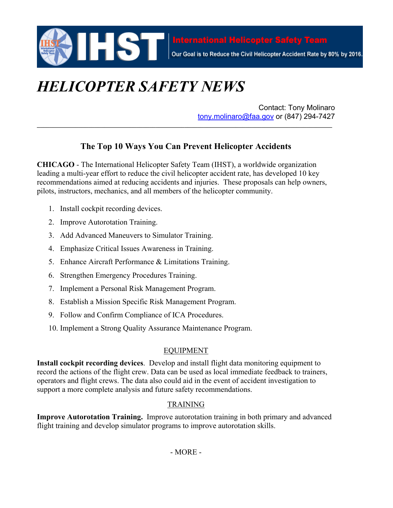

# *HELICOPTER SAFETY NEWS*

Contact: Tony Molinaro tony.molinaro@faa.gov or (847) 294-7427

# **The Top 10 Ways You Can Prevent Helicopter Accidents**

**CHICAGO** - The International Helicopter Safety Team (IHST), a worldwide organization leading a multi-year effort to reduce the civil helicopter accident rate, has developed 10 key recommendations aimed at reducing accidents and injuries. These proposals can help owners, pilots, instructors, mechanics, and all members of the helicopter community.

- 1. Install cockpit recording devices.
- 2. Improve Autorotation Training.
- 3. Add Advanced Maneuvers to Simulator Training.
- 4. Emphasize Critical Issues Awareness in Training.
- 5. Enhance Aircraft Performance & Limitations Training.
- 6. Strengthen Emergency Procedures Training.
- 7. Implement a Personal Risk Management Program.
- 8. Establish a Mission Specific Risk Management Program.
- 9. Follow and Confirm Compliance of ICA Procedures.
- 10. Implement a Strong Quality Assurance Maintenance Program.

#### EQUIPMENT

**Install cockpit recording devices**. Develop and install flight data monitoring equipment to record the actions of the flight crew. Data can be used as local immediate feedback to trainers, operators and flight crews. The data also could aid in the event of accident investigation to support a more complete analysis and future safety recommendations.

## TRAINING

**Improve Autorotation Training.** Improve autorotation training in both primary and advanced flight training and develop simulator programs to improve autorotation skills.